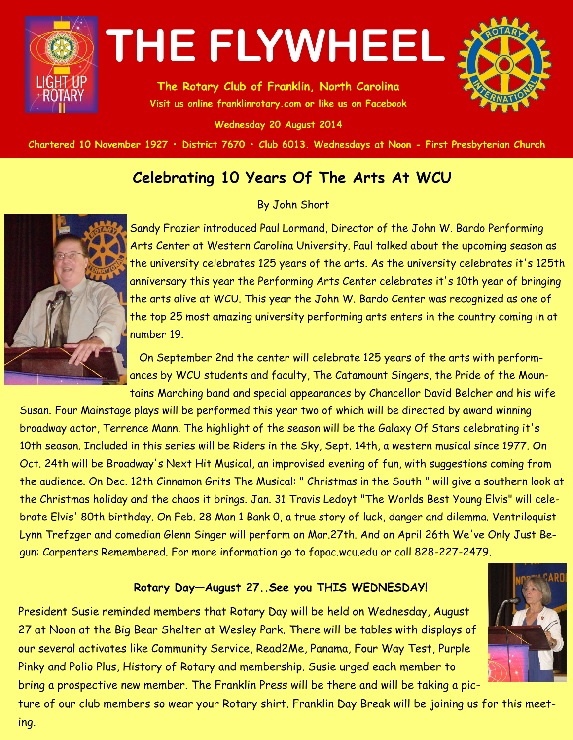

**The Rotary Club of Franklin, North Carolina Visit us online franklinrotary.com or like us on Facebook** 

**Wednesday 20 August 2014**



Chartered 10 November 1927 • District 7670 • Club 6013. Wednesdays at Noon - First Presbyterian Church

### **Celebrating 10 Years Of The Arts At WCU**

#### By John Short



ing.

Sandy Frazier introduced Paul Lormand, Director of the John W. Bardo Performing Arts Center at Western Carolina University. Paul talked about the upcoming season as the university celebrates 125 years of the arts. As the university celebrates it's 125th anniversary this year the Performing Arts Center celebrates it's 10th year of bringing the arts alive at WCU. This year the John W. Bardo Center was recognized as one of the top 25 most amazing university performing arts enters in the country coming in at number 19.

 On September 2nd the center will celebrate 125 years of the arts with performances by WCU students and faculty, The Catamount Singers, the Pride of the Mountains Marching band and special appearances by Chancellor David Belcher and his wife

Susan. Four Mainstage plays will be performed this year two of which will be directed by award winning broadway actor, Terrence Mann. The highlight of the season will be the Galaxy Of Stars celebrating it's 10th season. Included in this series will be Riders in the Sky, Sept. 14th, a western musical since 1977. On Oct. 24th will be Broadway's Next Hit Musical, an improvised evening of fun, with suggestions coming from the audience. On Dec. 12th Cinnamon Grits The Musical: " Christmas in the South " will give a southern look at the Christmas holiday and the chaos it brings. Jan. 31 Travis Ledoyt "The Worlds Best Young Elvis" will celebrate Elvis' 80th birthday. On Feb. 28 Man 1 Bank 0, a true story of luck, danger and dilemma. Ventriloquist Lynn Trefzger and comedian Glenn Singer will perform on Mar.27th. And on April 26th We've Only Just Begun: Carpenters Remembered. For more information go to fapac.wcu.edu or call 828-227-2479.

#### **Rotary Day—August 27..See you THIS WEDNESDAY!**

President Susie reminded members that Rotary Day will be held on Wednesday, August 27 at Noon at the Big Bear Shelter at Wesley Park. There will be tables with displays of our several activates like Community Service, Read2Me, Panama, Four Way Test, Purple Pinky and Polio Plus, History of Rotary and membership. Susie urged each member to bring a prospective new member. The Franklin Press will be there and will be taking a pic-



ture of our club members so wear your Rotary shirt. Franklin Day Break will be joining us for this meet-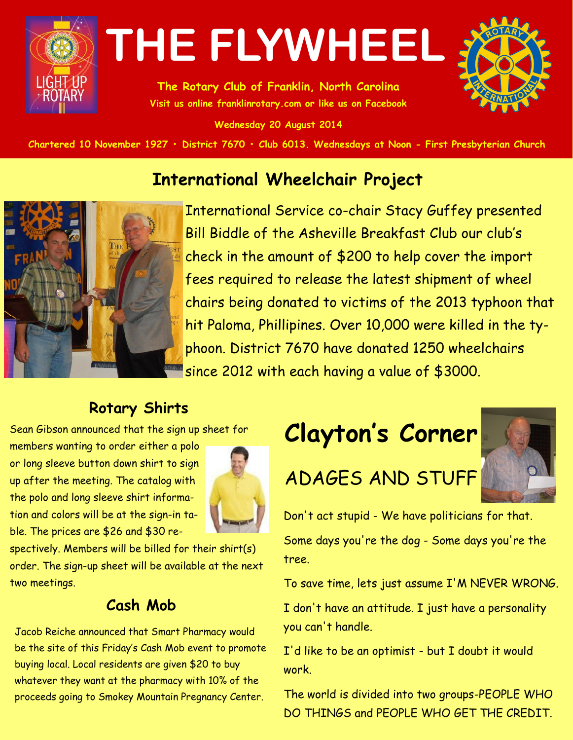

**The Rotary Club of Franklin, North Carolina Visit us online franklinrotary.com or like us on Facebook** 

**Wednesday 20 August 2014**



Chartered 10 November 1927 • District 7670 • Club 6013. Wednesdays at Noon - First Presbyterian Church

# **International Wheelchair Project**



International Service co-chair Stacy Guffey presented Bill Biddle of the Asheville Breakfast Club our club's check in the amount of \$200 to help cover the import fees required to release the latest shipment of wheel chairs being donated to victims of the 2013 typhoon that hit Paloma, Phillipines. Over 10,000 were killed in the typhoon. District 7670 have donated 1250 wheelchairs since 2012 with each having a value of \$3000.

### **Rotary Shirts**

Sean Gibson announced that the sign up sheet for

members wanting to order either a polo or long sleeve button down shirt to sign up after the meeting. The catalog with the polo and long sleeve shirt information and colors will be at the sign-in table. The prices are \$26 and \$30 re-



spectively. Members will be billed for their shirt(s) order. The sign-up sheet will be available at the next two meetings.

# **Cash Mob**

Jacob Reiche announced that Smart Pharmacy would be the site of this Friday's Cash Mob event to promote buying local. Local residents are given \$20 to buy whatever they want at the pharmacy with 10% of the proceeds going to Smokey Mountain Pregnancy Center.

# **Clayton's Corner**



ADAGES AND STUFF

Don't act stupid - We have politicians for that. Some days you're the dog - Some days you're the tree.

To save time, lets just assume I'M NEVER WRONG.

I don't have an attitude. I just have a personality you can't handle.

I'd like to be an optimist - but I doubt it would work.

The world is divided into two groups-PEOPLE WHO DO THINGS and PEOPLE WHO GET THE CREDIT.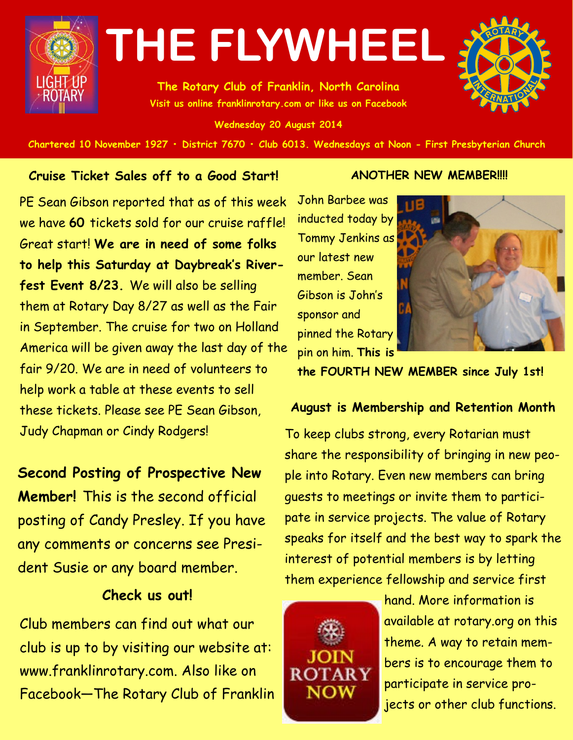

**The Rotary Club of Franklin, North Carolina Visit us online franklinrotary.com or like us on Facebook** 

**Wednesday 20 August 2014**



Chartered 10 November 1927 • District 7670 • Club 6013. Wednesdays at Noon - First Presbyterian Church

#### **Cruise Ticket Sales off to a Good Start!**

PE Sean Gibson reported that as of this week we have **60** tickets sold for our cruise raffle! Great start! **We are in need of some folks to help this Saturday at Daybreak's Riverfest Event 8/23.** We will also be selling them at Rotary Day 8/27 as well as the Fair in September. The cruise for two on Holland America will be given away the last day of the fair 9/20. We are in need of volunteers to help work a table at these events to sell these tickets. Please see PE Sean Gibson, Judy Chapman or Cindy Rodgers!

#### **Second Posting of Prospective New**

**Member!** This is the second official posting of Candy Presley. If you have any comments or concerns see President Susie or any board member.

#### **Check us out!**

Club members can find out what our club is up to by visiting our website at: www.franklinrotary.com. Also like on Facebook—The Rotary Club of Franklin

# **ANOTHER NEW MEMBER!!!!**

John Barbee was inducted today by Tommy Jenkins as our latest new member. Sean Gibson is John's sponsor and pinned the Rotary pin on him. **This is** 



**the FOURTH NEW MEMBER since July 1st!**

#### **August is Membership and Retention Month**

To keep clubs strong, every Rotarian must share the responsibility of bringing in new people into Rotary. Even new members can bring guests to meetings or invite them to participate in service projects. The value of Rotary speaks for itself and the best way to spark the interest of potential members is by letting them experience fellowship and service first



hand. More information is available at rotary.org on this theme. A way to retain members is to encourage them to participate in service projects or other club functions.